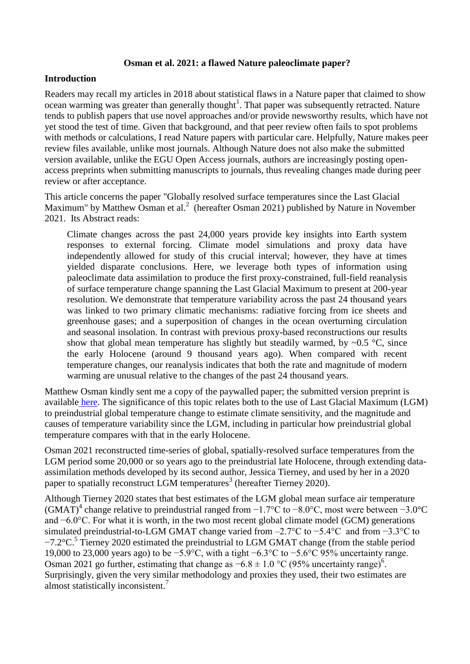### **Osman et al. 2021: a flawed Nature paleoclimate paper?**

### **Introduction**

Readers may recall my articles in 2018 about statistical flaws in a Nature paper that claimed to show ocean warming was greater than generally thought<sup>1</sup>. That paper was subsequently retracted. Nature tends to publish papers that use novel approaches and/or provide newsworthy results, which have not yet stood the test of time. Given that background, and that peer review often fails to spot problems with methods or calculations, I read Nature papers with particular care. Helpfully, Nature makes peer review files available, unlike most journals. Although Nature does not also make the submitted version available, unlike the EGU Open Access journals, authors are increasingly posting openaccess preprints when submitting manuscripts to journals, thus revealing changes made during peer review or after acceptance.

This article concerns the paper "Globally resolved surface temperatures since the Last Glacial Maximum" by Matthew Osman et al.<sup>2</sup> (hereafter Osman 2021) published by Nature in November 2021. Its Abstract reads:

Climate changes across the past 24,000 years provide key insights into Earth system responses to external forcing. Climate model simulations and proxy data have independently allowed for study of this crucial interval; however, they have at times yielded disparate conclusions. Here, we leverage both types of information using paleoclimate data assimilation to produce the first proxy-constrained, full-field reanalysis of surface temperature change spanning the Last Glacial Maximum to present at 200-year resolution. We demonstrate that temperature variability across the past 24 thousand years was linked to two primary climatic mechanisms: radiative forcing from ice sheets and greenhouse gases; and a superposition of changes in the ocean overturning circulation and seasonal insolation. In contrast with previous proxy-based reconstructions our results show that global mean temperature has slightly but steadily warmed, by  $\sim 0.5$  °C, since the early Holocene (around 9 thousand years ago). When compared with recent temperature changes, our reanalysis indicates that both the rate and magnitude of modern warming are unusual relative to the changes of the past 24 thousand years.

Matthew Osman kindly sent me a copy of the paywalled paper; the submitted version preprint is available [here.](https://eartharxiv.org/repository/object/2219/download/4584/) The significance of this topic relates both to the use of Last Glacial Maximum (LGM) to preindustrial global temperature change to estimate climate sensitivity, and the magnitude and causes of temperature variability since the LGM, including in particular how preindustrial global temperature compares with that in the early Holocene.

Osman 2021 reconstructed time-series of global, spatially-resolved surface temperatures from the LGM period some 20,000 or so years ago to the preindustrial late Holocene, through extending dataassimilation methods developed by its second author, Jessica Tierney, and used by her in a 2020 paper to spatially reconstruct LGM temperatures<sup>3</sup> (hereafter Tierney 2020).

Although Tierney 2020 states that best estimates of the LGM global mean surface air temperature (GMAT)<sup>4</sup> change relative to preindustrial ranged from −1.7°C to −8.0°C, most were between −3.0°C and −6.0°C. For what it is worth, in the two most recent global climate model (GCM) generations simulated preindustrial-to-LGM GMAT change varied from –2.7°C to −5.4°C and from −3.3°C to −7.2°C.<sup>5</sup> Tierney 2020 estimated the preindustrial to LGM GMAT change (from the stable period 19,000 to 23,000 years ago) to be −5.9°C, with a tight −6.3°C to −5.6°C 95% uncertainty range. Osman 2021 go further, estimating that change as  $-6.8 \pm 1.0$  °C (95% uncertainty range)<sup>6</sup>. Surprisingly, given the very similar methodology and proxies they used, their two estimates are almost statistically inconsistent.<sup>7</sup>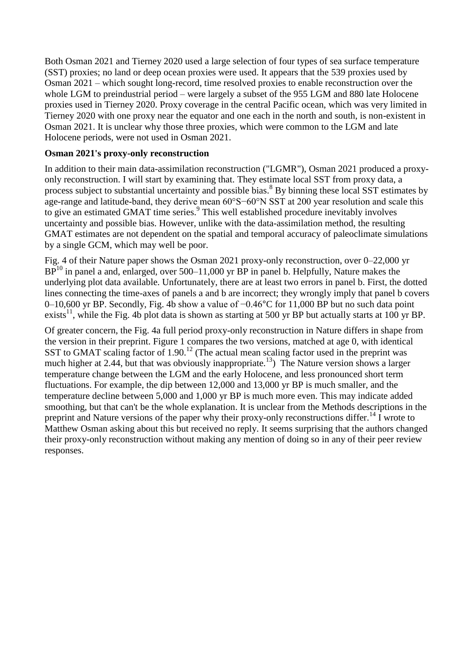Both Osman 2021 and Tierney 2020 used a large selection of four types of sea surface temperature (SST) proxies; no land or deep ocean proxies were used. It appears that the 539 proxies used by Osman 2021 – which sought long-record, time resolved proxies to enable reconstruction over the whole LGM to preindustrial period – were largely a subset of the 955 LGM and 880 late Holocene proxies used in Tierney 2020. Proxy coverage in the central Pacific ocean, which was very limited in Tierney 2020 with one proxy near the equator and one each in the north and south, is non-existent in Osman 2021. It is unclear why those three proxies, which were common to the LGM and late Holocene periods, were not used in Osman 2021.

# **Osman 2021's proxy-only reconstruction**

In addition to their main data-assimilation reconstruction ("LGMR"), Osman 2021 produced a proxyonly reconstruction. I will start by examining that. They estimate local SST from proxy data, a process subject to substantial uncertainty and possible bias.<sup>8</sup> By binning these local SST estimates by age-range and latitude-band, they derive mean 60°S−60°N SST at 200 year resolution and scale this to give an estimated GMAT time series. 9 This well established procedure inevitably involves uncertainty and possible bias. However, unlike with the data-assimilation method, the resulting GMAT estimates are not dependent on the spatial and temporal accuracy of paleoclimate simulations by a single GCM, which may well be poor.

Fig. 4 of their Nature paper shows the Osman 2021 proxy-only reconstruction, over 0–22,000 yr  $BP<sup>10</sup>$  in panel a and, enlarged, over 500–11,000 yr BP in panel b. Helpfully, Nature makes the underlying plot data available. Unfortunately, there are at least two errors in panel b. First, the dotted lines connecting the time-axes of panels a and b are incorrect; they wrongly imply that panel b covers 0–10,600 yr BP. Secondly, Fig. 4b show a value of −0.46°C for 11,000 BP but no such data point exists<sup>11</sup>, while the Fig. 4b plot data is shown as starting at 500 yr BP but actually starts at 100 yr BP.

Of greater concern, the Fig. 4a full period proxy-only reconstruction in Nature differs in shape from the version in their preprint. Figure 1 compares the two versions, matched at age 0, with identical SST to GMAT scaling factor of  $1.90$ .<sup>12</sup> (The actual mean scaling factor used in the preprint was much higher at 2.44, but that was obviously inappropriate.<sup>13</sup>) The Nature version shows a larger temperature change between the LGM and the early Holocene, and less pronounced short term fluctuations. For example, the dip between 12,000 and 13,000 yr BP is much smaller, and the temperature decline between 5,000 and 1,000 yr BP is much more even. This may indicate added smoothing, but that can't be the whole explanation. It is unclear from the Methods descriptions in the preprint and Nature versions of the paper why their proxy-only reconstructions differ.<sup>14</sup> I wrote to Matthew Osman asking about this but received no reply. It seems surprising that the authors changed their proxy-only reconstruction without making any mention of doing so in any of their peer review responses.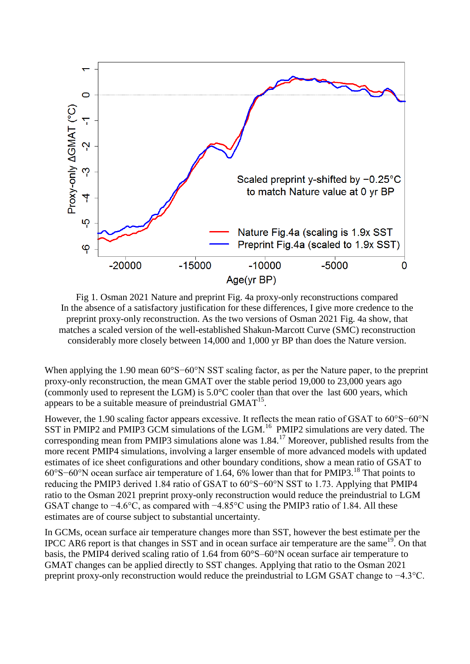

Fig 1. Osman 2021 Nature and preprint Fig. 4a proxy-only reconstructions compared In the absence of a satisfactory justification for these differences, I give more credence to the preprint proxy-only reconstruction. As the two versions of Osman 2021 Fig. 4a show, that matches a scaled version of the well-established Shakun-Marcott Curve (SMC) reconstruction considerably more closely between 14,000 and 1,000 yr BP than does the Nature version.

When applying the 1.90 mean 60°S−60°N SST scaling factor, as per the Nature paper, to the preprint proxy-only reconstruction, the mean GMAT over the stable period 19,000 to 23,000 years ago (commonly used to represent the LGM) is 5.0°C cooler than that over the last 600 years, which appears to be a suitable measure of preindustrial  $GMAT^{15}$ .

However, the 1.90 scaling factor appears excessive. It reflects the mean ratio of GSAT to 60°S−60°N SST in PMIP2 and PMIP3 GCM simulations of the LGM.<sup>16</sup> PMIP2 simulations are very dated. The corresponding mean from PMIP3 simulations alone was  $1.84$ .<sup>17</sup> Moreover, published results from the more recent PMIP4 simulations, involving a larger ensemble of more advanced models with updated estimates of ice sheet configurations and other boundary conditions, show a mean ratio of GSAT to 60°S−60°N ocean surface air temperature of 1.64, 6% lower than that for PMIP3.<sup>18</sup> That points to reducing the PMIP3 derived 1.84 ratio of GSAT to 60°S−60°N SST to 1.73. Applying that PMIP4 ratio to the Osman 2021 preprint proxy-only reconstruction would reduce the preindustrial to LGM GSAT change to −4.6°C, as compared with −4.85°C using the PMIP3 ratio of 1.84. All these estimates are of course subject to substantial uncertainty.

In GCMs, ocean surface air temperature changes more than SST, however the best estimate per the IPCC AR6 report is that changes in SST and in ocean surface air temperature are the same<sup>19</sup>. On that basis, the PMIP4 derived scaling ratio of 1.64 from 60°S–60°N ocean surface air temperature to GMAT changes can be applied directly to SST changes. Applying that ratio to the Osman 2021 preprint proxy-only reconstruction would reduce the preindustrial to LGM GSAT change to −4.3°C.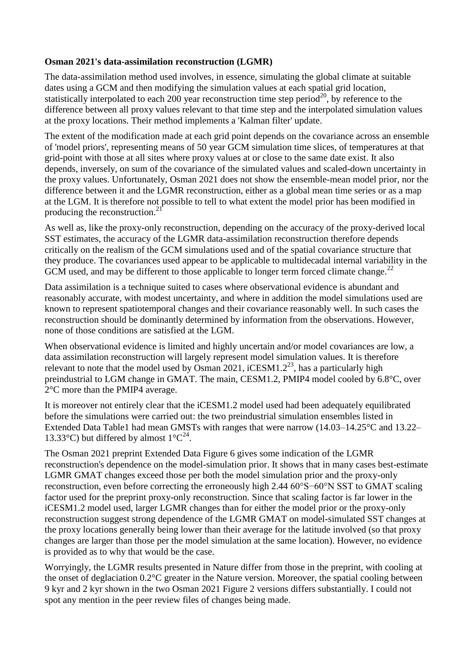### **Osman 2021's data-assimilation reconstruction (LGMR)**

The data-assimilation method used involves, in essence, simulating the global climate at suitable dates using a GCM and then modifying the simulation values at each spatial grid location, statistically interpolated to each 200 year reconstruction time step period<sup>20</sup>, by reference to the difference between all proxy values relevant to that time step and the interpolated simulation values at the proxy locations. Their method implements a 'Kalman filter' update.

The extent of the modification made at each grid point depends on the covariance across an ensemble of 'model priors', representing means of 50 year GCM simulation time slices, of temperatures at that grid-point with those at all sites where proxy values at or close to the same date exist. It also depends, inversely, on sum of the covariance of the simulated values and scaled-down uncertainty in the proxy values. Unfortunately, Osman 2021 does not show the ensemble-mean model prior, nor the difference between it and the LGMR reconstruction, either as a global mean time series or as a map at the LGM. It is therefore not possible to tell to what extent the model prior has been modified in producing the reconstruction. $^{21}$ 

As well as, like the proxy-only reconstruction, depending on the accuracy of the proxy-derived local SST estimates, the accuracy of the LGMR data-assimilation reconstruction therefore depends critically on the realism of the GCM simulations used and of the spatial covariance structure that they produce. The covariances used appear to be applicable to multidecadal internal variability in the GCM used, and may be different to those applicable to longer term forced climate change.<sup>22</sup>

Data assimilation is a technique suited to cases where observational evidence is abundant and reasonably accurate, with modest uncertainty, and where in addition the model simulations used are known to represent spatiotemporal changes and their covariance reasonably well. In such cases the reconstruction should be dominantly determined by information from the observations. However, none of those conditions are satisfied at the LGM.

When observational evidence is limited and highly uncertain and/or model covariances are low, a data assimilation reconstruction will largely represent model simulation values. It is therefore relevant to note that the model used by Osman 2021, iCESM1.2<sup>23</sup>, has a particularly high preindustrial to LGM change in GMAT. The main, CESM1.2, PMIP4 model cooled by 6.8°C, over 2°C more than the PMIP4 average.

It is moreover not entirely clear that the iCESM1.2 model used had been adequately equilibrated before the simulations were carried out: the two preindustrial simulation ensembles listed in Extended Data Table1 had mean GMSTs with ranges that were narrow (14.03–14.25°C and 13.22– 13.33°C) but differed by almost  $1^{\circ}C^{24}$ .

The Osman 2021 preprint Extended Data Figure 6 gives some indication of the LGMR reconstruction's dependence on the model-simulation prior. It shows that in many cases best-estimate LGMR GMAT changes exceed those per both the model simulation prior and the proxy-only reconstruction, even before correcting the erroneously high 2.44 60°S−60°N SST to GMAT scaling factor used for the preprint proxy-only reconstruction. Since that scaling factor is far lower in the iCESM1.2 model used, larger LGMR changes than for either the model prior or the proxy-only reconstruction suggest strong dependence of the LGMR GMAT on model-simulated SST changes at the proxy locations generally being lower than their average for the latitude involved (so that proxy changes are larger than those per the model simulation at the same location). However, no evidence is provided as to why that would be the case.

Worryingly, the LGMR results presented in Nature differ from those in the preprint, with cooling at the onset of deglaciation 0.2°C greater in the Nature version. Moreover, the spatial cooling between 9 kyr and 2 kyr shown in the two Osman 2021 Figure 2 versions differs substantially. I could not spot any mention in the peer review files of changes being made.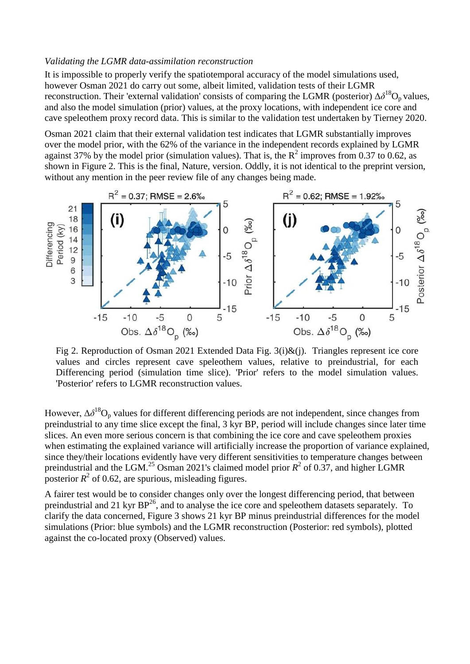#### *Validating the LGMR data-assimilation reconstruction*

It is impossible to properly verify the spatiotemporal accuracy of the model simulations used, however Osman 2021 do carry out some, albeit limited, validation tests of their LGMR reconstruction. Their 'external validation' consists of comparing the LGMR (posterior)  $\Delta \delta^{18}O_p$  values, and also the model simulation (prior) values, at the proxy locations, with independent ice core and cave speleothem proxy record data. This is similar to the validation test undertaken by Tierney 2020.

Osman 2021 claim that their external validation test indicates that LGMR substantially improves over the model prior, with the 62% of the variance in the independent records explained by LGMR against 37% by the model prior (simulation values). That is, the  $R^2$  improves from 0.37 to 0.62, as shown in Figure 2. This is the final, Nature, version. Oddly, it is not identical to the preprint version, without any mention in the peer review file of any changes being made.



Fig 2. Reproduction of Osman 2021 Extended Data Fig. 3(i)&(j). Triangles represent ice core values and circles represent cave speleothem values, relative to preindustrial, for each Differencing period (simulation time slice). 'Prior' refers to the model simulation values. 'Posterior' refers to LGMR reconstruction values.

However,  $\Delta \delta^{18}O_p$  values for different differencing periods are not independent, since changes from preindustrial to any time slice except the final, 3 kyr BP, period will include changes since later time slices. An even more serious concern is that combining the ice core and cave speleothem proxies when estimating the explained variance will artificially increase the proportion of variance explained, since they/their locations evidently have very different sensitivities to temperature changes between preindustrial and the LGM.<sup>25</sup> Osman 2021's claimed model prior  $R^2$  of 0.37, and higher LGMR posterior  $R^2$  of 0.62, are spurious, misleading figures.

A fairer test would be to consider changes only over the longest differencing period, that between preindustrial and 21 kyr BP<sup>26</sup>, and to analyse the ice core and speleothem datasets separately. To clarify the data concerned, Figure 3 shows 21 kyr BP minus preindustrial differences for the model simulations (Prior: blue symbols) and the LGMR reconstruction (Posterior: red symbols), plotted against the co-located proxy (Observed) values.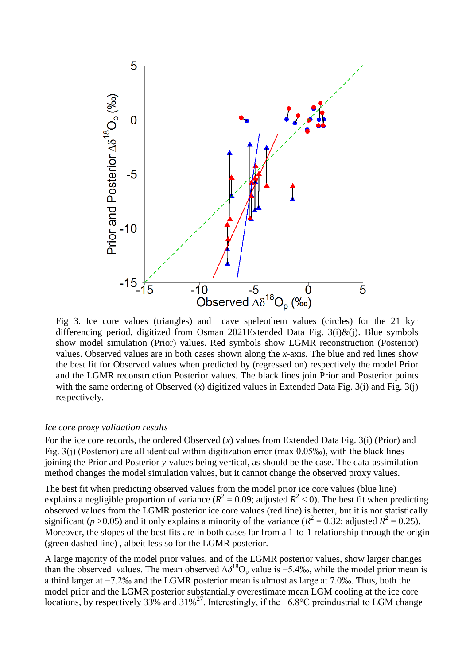

Fig 3. Ice core values (triangles) and cave speleothem values (circles) for the 21 kyr differencing period, digitized from Osman 2021Extended Data Fig. 3(i)&(j). Blue symbols show model simulation (Prior) values. Red symbols show LGMR reconstruction (Posterior) values. Observed values are in both cases shown along the *x*-axis. The blue and red lines show the best fit for Observed values when predicted by (regressed on) respectively the model Prior and the LGMR reconstruction Posterior values. The black lines join Prior and Posterior points with the same ordering of Observed  $(x)$  digitized values in Extended Data Fig. 3(i) and Fig. 3(j) respectively.

#### *Ice core proxy validation results*

For the ice core records, the ordered Observed (*x*) values from Extended Data Fig. 3(i) (Prior) and Fig. 3(j) (Posterior) are all identical within digitization error (max 0.05‰), with the black lines joining the Prior and Posterior *y*-values being vertical, as should be the case. The data-assimilation method changes the model simulation values, but it cannot change the observed proxy values.

The best fit when predicting observed values from the model prior ice core values (blue line) explains a negligible proportion of variance ( $R^2 = 0.09$ ; adjusted  $R^2 < 0$ ). The best fit when predicting observed values from the LGMR posterior ice core values (red line) is better, but it is not statistically significant (*p* >0.05) and it only explains a minority of the variance ( $R^2 = 0.32$ ; adjusted  $R^2 = 0.25$ ). Moreover, the slopes of the best fits are in both cases far from a 1-to-1 relationship through the origin (green dashed line) , albeit less so for the LGMR posterior.

A large majority of the model prior values, and of the LGMR posterior values, show larger changes than the observed values. The mean observed  $\Delta \delta^{18}O_p$  value is -5.4‰, while the model prior mean is a third larger at −7.2‰ and the LGMR posterior mean is almost as large at 7.0‰. Thus, both the model prior and the LGMR posterior substantially overestimate mean LGM cooling at the ice core locations, by respectively 33% and  $31\%^{27}$ . Interestingly, if the −6.8°C preindustrial to LGM change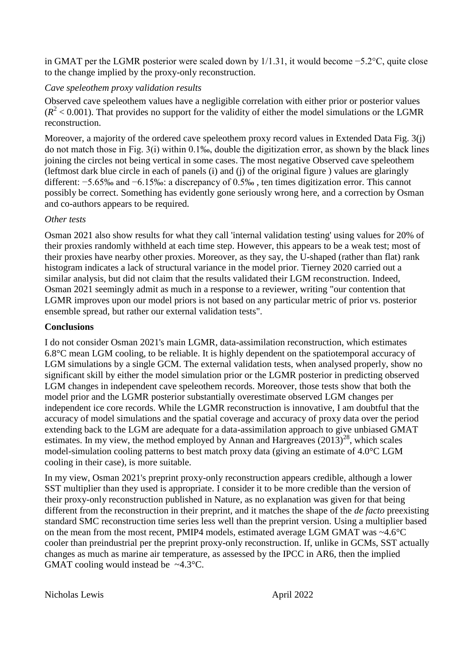in GMAT per the LGMR posterior were scaled down by 1/1.31, it would become −5.2°C, quite close to the change implied by the proxy-only reconstruction.

# *Cave speleothem proxy validation results*

Observed cave speleothem values have a negligible correlation with either prior or posterior values  $(R<sup>2</sup> < 0.001)$ . That provides no support for the validity of either the model simulations or the LGMR reconstruction.

Moreover, a majority of the ordered cave speleothem proxy record values in Extended Data Fig. 3(j) do not match those in Fig. 3(i) within 0.1‰, double the digitization error, as shown by the black lines joining the circles not being vertical in some cases. The most negative Observed cave speleothem (leftmost dark blue circle in each of panels (i) and (j) of the original figure ) values are glaringly different: −5.65‰ and −6.15‰: a discrepancy of 0.5‰ , ten times digitization error. This cannot possibly be correct. Something has evidently gone seriously wrong here, and a correction by Osman and co-authors appears to be required.

# *Other tests*

Osman 2021 also show results for what they call 'internal validation testing' using values for 20% of their proxies randomly withheld at each time step. However, this appears to be a weak test; most of their proxies have nearby other proxies. Moreover, as they say, the U-shaped (rather than flat) rank histogram indicates a lack of structural variance in the model prior. Tierney 2020 carried out a similar analysis, but did not claim that the results validated their LGM reconstruction. Indeed, Osman 2021 seemingly admit as much in a response to a reviewer, writing "our contention that LGMR improves upon our model priors is not based on any particular metric of prior vs. posterior ensemble spread, but rather our external validation tests".

# **Conclusions**

I do not consider Osman 2021's main LGMR, data-assimilation reconstruction, which estimates 6.8°C mean LGM cooling, to be reliable. It is highly dependent on the spatiotemporal accuracy of LGM simulations by a single GCM. The external validation tests, when analysed properly, show no significant skill by either the model simulation prior or the LGMR posterior in predicting observed LGM changes in independent cave speleothem records. Moreover, those tests show that both the model prior and the LGMR posterior substantially overestimate observed LGM changes per independent ice core records. While the LGMR reconstruction is innovative, I am doubtful that the accuracy of model simulations and the spatial coverage and accuracy of proxy data over the period extending back to the LGM are adequate for a data-assimilation approach to give unbiased GMAT estimates. In my view, the method employed by Annan and Hargreaves  $(2013)^{28}$ , which scales model-simulation cooling patterns to best match proxy data (giving an estimate of 4.0°C LGM cooling in their case), is more suitable.

In my view, Osman 2021's preprint proxy-only reconstruction appears credible, although a lower SST multiplier than they used is appropriate. I consider it to be more credible than the version of their proxy-only reconstruction published in Nature, as no explanation was given for that being different from the reconstruction in their preprint, and it matches the shape of the *de facto* preexisting standard SMC reconstruction time series less well than the preprint version. Using a multiplier based on the mean from the most recent, PMIP4 models, estimated average LGM GMAT was ~4.6°C cooler than preindustrial per the preprint proxy-only reconstruction. If, unlike in GCMs, SST actually changes as much as marine air temperature, as assessed by the IPCC in AR6, then the implied GMAT cooling would instead be  $\sim 4.3$ °C.

Nicholas Lewis April 2022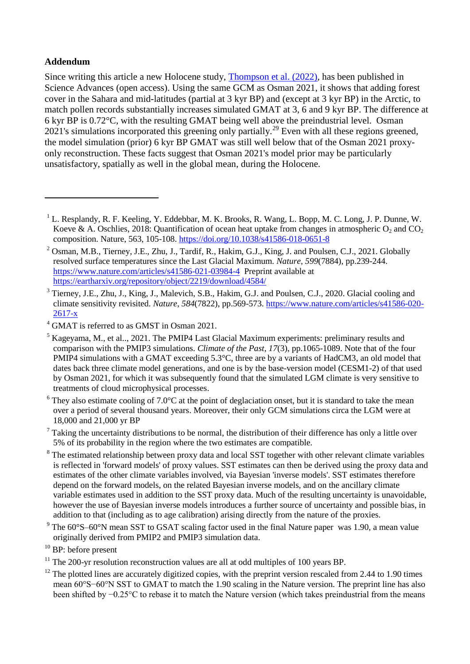# **Addendum**

<u>.</u>

Since writing this article a new Holocene study, [Thompson et al. \(2022\),](https://www.science.org/doi/10.1126/sciadv.abj6535) has been published in Science Advances (open access). Using the same GCM as Osman 2021, it shows that adding forest cover in the Sahara and mid-latitudes (partial at 3 kyr BP) and (except at 3 kyr BP) in the Arctic, to match pollen records substantially increases simulated GMAT at 3, 6 and 9 kyr BP. The difference at 6 kyr BP is 0.72°C, with the resulting GMAT being well above the preindustrial level. Osman 2021's simulations incorporated this greening only partially.<sup>29</sup> Even with all these regions greened, the model simulation (prior) 6 kyr BP GMAT was still well below that of the Osman 2021 proxyonly reconstruction. These facts suggest that Osman 2021's model prior may be particularly unsatisfactory, spatially as well in the global mean, during the Holocene.

<sup>3</sup> Tierney, J.E., Zhu, J., King, J., Malevich, S.B., Hakim, G.J. and Poulsen, C.J., 2020. Glacial cooling and climate sensitivity revisited. *Nature*, *584*(7822), pp.569-573. [https://www.nature.com/articles/s41586-020-](https://www.nature.com/articles/s41586-020-2617-x) [2617-x](https://www.nature.com/articles/s41586-020-2617-x)

 $6$  They also estimate cooling of 7.0 $\degree$ C at the point of deglaciation onset, but it is standard to take the mean over a period of several thousand years. Moreover, their only GCM simulations circa the LGM were at 18,000 and 21,000 yr BP

 $<sup>7</sup>$  Taking the uncertainty distributions to be normal, the distribution of their difference has only a little over</sup> 5% of its probability in the region where the two estimates are compatible.

- <sup>8</sup> The estimated relationship between proxy data and local SST together with other relevant climate variables is reflected in 'forward models' of proxy values. SST estimates can then be derived using the proxy data and estimates of the other climate variables involved, via Bayesian 'inverse models'. SST estimates therefore depend on the forward models, on the related Bayesian inverse models, and on the ancillary climate variable estimates used in addition to the SST proxy data. Much of the resulting uncertainty is unavoidable, however the use of Bayesian inverse models introduces a further source of uncertainty and possible bias, in addition to that (including as to age calibration) arising directly from the nature of the proxies.
- $9$ <sup>9</sup> The 60 $\degree$ S–60 $\degree$ N mean SST to GSAT scaling factor used in the final Nature paper was 1.90, a mean value originally derived from PMIP2 and PMIP3 simulation data.
- <sup>10</sup> BP: before present

<sup>&</sup>lt;sup>1</sup> L. Resplandy, R. F. Keeling, Y. Eddebbar, M. K. Brooks, R. Wang, L. Bopp, M. C. Long, J. P. Dunne, W. Koeve & A. Oschlies, 2018: Quantification of ocean heat uptake from changes in atmospheric  $O_2$  and  $CO_2$ composition. Nature, 563, 105-108.<https://doi.org/10.1038/s41586-018-0651-8>

<sup>&</sup>lt;sup>2</sup> Osman, M.B., Tierney, J.E., Zhu, J., Tardif, R., Hakim, G.J., King, J. and Poulsen, C.J., 2021. Globally resolved surface temperatures since the Last Glacial Maximum. *Nature*, *599*(7884), pp.239-244. <https://www.nature.com/articles/s41586-021-03984-4>Preprint available at <https://eartharxiv.org/repository/object/2219/download/4584/>

<sup>&</sup>lt;sup>4</sup> GMAT is referred to as GMST in Osman 2021.

 $<sup>5</sup>$  Kageyama, M., et al.., 2021. The PMIP4 Last Glacial Maximum experiments: preliminary results and</sup> comparison with the PMIP3 simulations. *Climate of the Past*, *17*(3), pp.1065-1089. Note that of the four PMIP4 simulations with a GMAT exceeding 5.3°C, three are by a variants of HadCM3, an old model that dates back three climate model generations, and one is by the base-version model (CESM1-2) of that used by Osman 2021, for which it was subsequently found that the simulated LGM climate is very sensitive to treatments of cloud microphysical processes.

<sup>&</sup>lt;sup>11</sup> The 200-yr resolution reconstruction values are all at odd multiples of 100 years BP.

 $12$  The plotted lines are accurately digitized copies, with the preprint version rescaled from 2.44 to 1.90 times mean 60°S−60°N SST to GMAT to match the 1.90 scaling in the Nature version. The preprint line has also been shifted by −0.25°C to rebase it to match the Nature version (which takes preindustrial from the means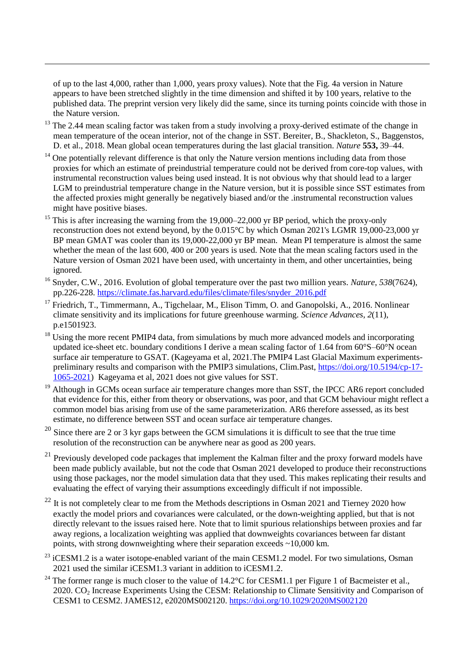of up to the last 4,000, rather than 1,000, years proxy values). Note that the Fig. 4a version in Nature appears to have been stretched slightly in the time dimension and shifted it by 100 years, relative to the published data. The preprint version very likely did the same, since its turning points coincide with those in the Nature version.

<u>.</u>

- $13$  The 2.44 mean scaling factor was taken from a study involving a proxy-derived estimate of the change in mean temperature of the ocean interior, not of the change in SST. Bereiter, B., Shackleton, S., Baggenstos, D. et al., 2018. Mean global ocean temperatures during the last glacial transition. *Nature* **553,** 39–44.
- One potentially relevant difference is that only the Nature version mentions including data from those proxies for which an estimate of preindustrial temperature could not be derived from core-top values, with instrumental reconstruction values being used instead. It is not obvious why that should lead to a larger LGM to preindustrial temperature change in the Nature version, but it is possible since SST estimates from the affected proxies might generally be negatively biased and/or the .instrumental reconstruction values might have positive biases.
- <sup>15</sup> This is after increasing the warning from the 19,000–22,000 yr BP period, which the proxy-only reconstruction does not extend beyond, by the 0.015°C by which Osman 2021's LGMR 19,000-23,000 yr BP mean GMAT was cooler than its 19,000-22,000 yr BP mean. Mean PI temperature is almost the same whether the mean of the last 600, 400 or 200 years is used. Note that the mean scaling factors used in the Nature version of Osman 2021 have been used, with uncertainty in them, and other uncertainties, being ignored.
- <sup>16</sup> Snyder, C.W., 2016. Evolution of global temperature over the past two million years. *Nature*, *538*(7624), pp.226-228. [https://climate.fas.harvard.edu/files/climate/files/snyder\\_2016.pdf](https://climate.fas.harvard.edu/files/climate/files/snyder_2016.pdf)
- <sup>17</sup> Friedrich, T., Timmermann, A., Tigchelaar, M., Elison Timm, O. and Ganopolski, A., 2016. Nonlinear climate sensitivity and its implications for future greenhouse warming. *Science Advances*, *2*(11), p.e1501923.
- <sup>18</sup> Using the more recent PMIP4 data, from simulations by much more advanced models and incorporating updated ice-sheet etc. boundary conditions I derive a mean scaling factor of 1.64 from 60°S–60°N ocean surface air temperature to GSAT. (Kageyama et al, 2021.The PMIP4 Last Glacial Maximum experimentspreliminary results and comparison with the PMIP3 simulations, Clim.Past, [https://doi.org/10.5194/cp-17-](https://doi.org/10.5194/cp-17-1065-2021) [1065-2021\)](https://doi.org/10.5194/cp-17-1065-2021) Kageyama et al, 2021 does not give values for SST.
- <sup>19</sup> Although in GCMs ocean surface air temperature changes more than SST, the IPCC AR6 report concluded that evidence for this, either from theory or observations, was poor, and that GCM behaviour might reflect a common model bias arising from use of the same parameterization. AR6 therefore assessed, as its best estimate, no difference between SST and ocean surface air temperature changes.
- $20$  Since there are 2 or 3 kyr gaps between the GCM simulations it is difficult to see that the true time resolution of the reconstruction can be anywhere near as good as 200 years.
- <sup>21</sup> Previously developed code packages that implement the Kalman filter and the proxy forward models have been made publicly available, but not the code that Osman 2021 developed to produce their reconstructions using those packages, nor the model simulation data that they used. This makes replicating their results and evaluating the effect of varying their assumptions exceedingly difficult if not impossible.
- $^{22}$  It is not completely clear to me from the Methods descriptions in Osman 2021 and Tierney 2020 how exactly the model priors and covariances were calculated, or the down-weighting applied, but that is not directly relevant to the issues raised here. Note that to limit spurious relationships between proxies and far away regions, a localization weighting was applied that downweights covariances between far distant points, with strong downweighting where their separation exceeds  $\sim$ 10,000 km.
- $23$  iCESM1.2 is a water isotope-enabled variant of the main CESM1.2 model. For two simulations, Osman 2021 used the similar iCESM1.3 variant in addition to iCESM1.2.
- <sup>24</sup> The former range is much closer to the value of  $14.2^{\circ}$ C for CESM1.1 per Figure 1 of Bacmeister et al., 2020. CO<sup>2</sup> Increase Experiments Using the CESM: Relationship to Climate Sensitivity and Comparison of CESM1 to CESM2. JAMES12, e2020MS002120.<https://doi.org/10.1029/2020MS002120>